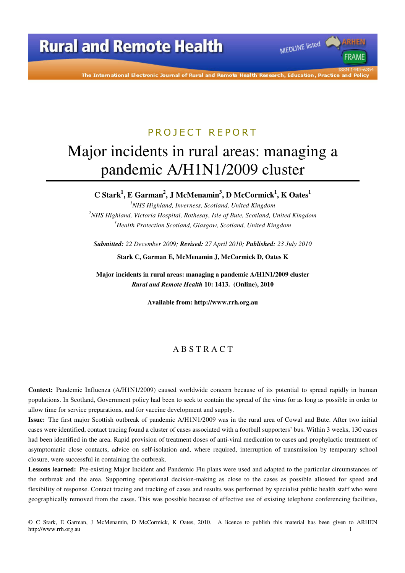The International Electronic Journal of Rural and Remote Health Research, Education, Practice

MEDLINE listed

FRAMF

# PROJECT REPORT

# Major incidents in rural areas: managing a pandemic A/H1N1/2009 cluster

**C Stark<sup>1</sup> , E Garman<sup>2</sup> , J McMenamin<sup>3</sup> , D McCormick<sup>1</sup> , K Oates<sup>1</sup>**

*<sup>1</sup>NHS Highland, Inverness, Scotland, United Kingdom <sup>2</sup>NHS Highland, Victoria Hospital, Rothesay, Isle of Bute, Scotland, United Kingdom <sup>3</sup>Health Protection Scotland, Glasgow, Scotland, United Kingdom* 

*Submitted: 22 December 2009; Revised: 27 April 2010; Published: 23 July 2010* 

**Stark C, Garman E, McMenamin J, McCormick D, Oates K** 

**Major incidents in rural areas: managing a pandemic A/H1N1/2009 cluster**  *Rural and Remote Health* **10: 1413. (Online), 2010** 

**Available from: http://www.rrh.org.au** 

### A B S T R A C T

**Context:** Pandemic Influenza (A/H1N1/2009) caused worldwide concern because of its potential to spread rapidly in human populations. In Scotland, Government policy had been to seek to contain the spread of the virus for as long as possible in order to allow time for service preparations, and for vaccine development and supply.

**Issue:** The first major Scottish outbreak of pandemic A/H1N1/2009 was in the rural area of Cowal and Bute. After two initial cases were identified, contact tracing found a cluster of cases associated with a football supporters' bus. Within 3 weeks, 130 cases had been identified in the area. Rapid provision of treatment doses of anti-viral medication to cases and prophylactic treatment of asymptomatic close contacts, advice on self-isolation and, where required, interruption of transmission by temporary school closure, were successful in containing the outbreak.

**Lessons learned:** Pre-existing Major Incident and Pandemic Flu plans were used and adapted to the particular circumstances of the outbreak and the area. Supporting operational decision-making as close to the cases as possible allowed for speed and flexibility of response. Contact tracing and tracking of cases and results was performed by specialist public health staff who were geographically removed from the cases. This was possible because of effective use of existing telephone conferencing facilities,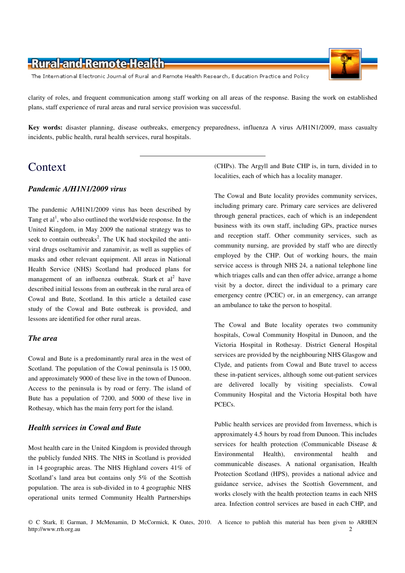The International Electronic Journal of Rural and Remote Health Research, Education Practice and Policy

clarity of roles, and frequent communication among staff working on all areas of the response. Basing the work on established plans, staff experience of rural areas and rural service provision was successful.

**Key words:** disaster planning, disease outbreaks, emergency preparedness, influenza A virus A/H1N1/2009, mass casualty incidents, public health, rural health services, rural hospitals.

### Context

#### *Pandemic A/H1N1/2009 virus*

The pandemic A/H1N1/2009 virus has been described by Tang et  $al<sup>1</sup>$ , who also outlined the worldwide response. In the United Kingdom, in May 2009 the national strategy was to seek to contain outbreaks<sup>2</sup>. The UK had stockpiled the antiviral drugs oseltamivir and zanamivir, as well as supplies of masks and other relevant equipment. All areas in National Health Service (NHS) Scotland had produced plans for management of an influenza outbreak. Stark et  $al^2$  have described initial lessons from an outbreak in the rural area of Cowal and Bute, Scotland. In this article a detailed case study of the Cowal and Bute outbreak is provided, and lessons are identified for other rural areas.

#### *The area*

Cowal and Bute is a predominantly rural area in the west of Scotland. The population of the Cowal peninsula is 15 000, and approximately 9000 of these live in the town of Dunoon. Access to the peninsula is by road or ferry. The island of Bute has a population of 7200, and 5000 of these live in Rothesay, which has the main ferry port for the island.

### *Health services in Cowal and Bute*

Most health care in the United Kingdom is provided through the publicly funded NHS. The NHS in Scotland is provided in 14 geographic areas. The NHS Highland covers 41% of Scotland's land area but contains only 5% of the Scottish population. The area is sub-divided in to 4 geographic NHS operational units termed Community Health Partnerships

(CHPs). The Argyll and Bute CHP is, in turn, divided in to localities, each of which has a locality manager.

The Cowal and Bute locality provides community services, including primary care. Primary care services are delivered through general practices, each of which is an independent business with its own staff, including GPs, practice nurses and reception staff. Other community services, such as community nursing, are provided by staff who are directly employed by the CHP. Out of working hours, the main service access is through NHS 24, a national telephone line which triages calls and can then offer advice, arrange a home visit by a doctor, direct the individual to a primary care emergency centre (PCEC) or, in an emergency, can arrange an ambulance to take the person to hospital.

The Cowal and Bute locality operates two community hospitals, Cowal Community Hospital in Dunoon, and the Victoria Hospital in Rothesay. District General Hospital services are provided by the neighbouring NHS Glasgow and Clyde, and patients from Cowal and Bute travel to access these in-patient services, although some out-patient services are delivered locally by visiting specialists. Cowal Community Hospital and the Victoria Hospital both have PCECs.

Public health services are provided from Inverness, which is approximately 4.5 hours by road from Dunoon. This includes services for health protection (Communicable Disease & Environmental Health), environmental health and communicable diseases. A national organisation, Health Protection Scotland (HPS), provides a national advice and guidance service, advises the Scottish Government, and works closely with the health protection teams in each NHS area. Infection control services are based in each CHP, and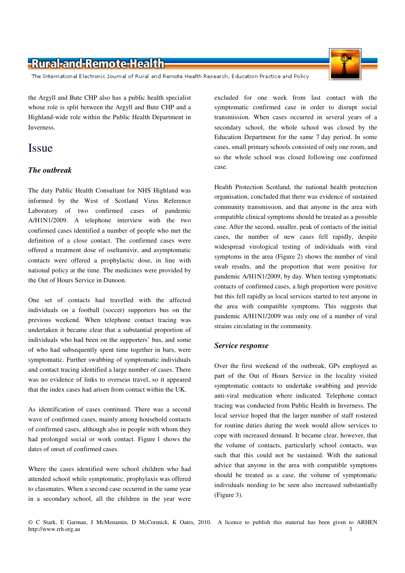The International Electronic Journal of Rural and Remote Health Research, Education Practice and Policy

the Argyll and Bute CHP also has a public health specialist whose role is split between the Argyll and Bute CHP and a Highland-wide role within the Public Health Department in Inverness.

## Issue

### *The outbreak*

The duty Public Health Consultant for NHS Highland was informed by the West of Scotland Virus Reference Laboratory of two confirmed cases of pandemic A/H1N1/2009. A telephone interview with the two confirmed cases identified a number of people who met the definition of a close contact. The confirmed cases were offered a treatment dose of oseltamivir, and asymptomatic contacts were offered a prophylactic dose, in line with national policy at the time. The medicines were provided by the Out of Hours Service in Dunoon.

One set of contacts had travelled with the affected individuals on a football (soccer) supporters bus on the previous weekend. When telephone contact tracing was undertaken it became clear that a substantial proportion of individuals who had been on the supporters' bus, and some of who had subsequently spent time together in bars, were symptomatic. Further swabbing of symptomatic individuals and contact tracing identified a large number of cases. There was no evidence of links to overseas travel, so it appeared that the index cases had arisen from contact within the UK.

As identification of cases continued. There was a second wave of confirmed cases, mainly among household contacts of confirmed cases, although also in people with whom they had prolonged social or work contact. Figure 1 shows the dates of onset of confirmed cases.

Where the cases identified were school children who had attended school while symptomatic, prophylaxis was offered to classmates. When a second case occurred in the same year in a secondary school, all the children in the year were

excluded for one week from last contact with the symptomatic confirmed case in order to disrupt social transmission. When cases occurred in several years of a secondary school, the whole school was closed by the Education Department for the same 7 day period. In some cases, small primary schools consisted of only one room, and so the whole school was closed following one confirmed case.

Health Protection Scotland, the national health protection organisation, concluded that there was evidence of sustained community transmission, and that anyone in the area with compatible clinical symptoms should be treated as a possible case. After the second, smaller, peak of contacts of the initial cases, the number of new cases fell rapidly, despite widespread virological testing of individuals with viral symptoms in the area (Figure 2) shows the number of viral swab results, and the proportion that were positive for pandemic A/H1N1/2009, by day. When testing symptomatic contacts of confirmed cases, a high proportion were positive but this fell rapidly as local services started to test anyone in the area with compatible symptoms. This suggests that pandemic A/H1N1/2009 was only one of a number of viral strains circulating in the community.

#### *Service response*

Over the first weekend of the outbreak, GPs employed as part of the Out of Hours Service in the locality visited symptomatic contacts to undertake swabbing and provide anti-viral medication where indicated. Telephone contact tracing was conducted from Public Health in Inverness. The local service hoped that the larger number of staff rostered for routine duties during the week would allow services to cope with increased demand. It became clear, however, that the volume of contacts, particularly school contacts, was such that this could not be sustained. With the national advice that anyone in the area with compatible symptoms should be treated as a case, the volume of symptomatic individuals needing to be seen also increased substantially (Figure 3).

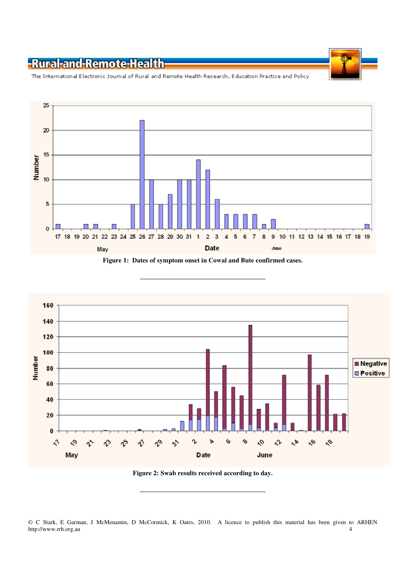

The International Electronic Journal of Rural and Remote Health Research, Education Practice and Policy



**Figure 1: Dates of symptom onset in Cowal and Bute confirmed cases.** 



**Figure 2: Swab results received according to day.**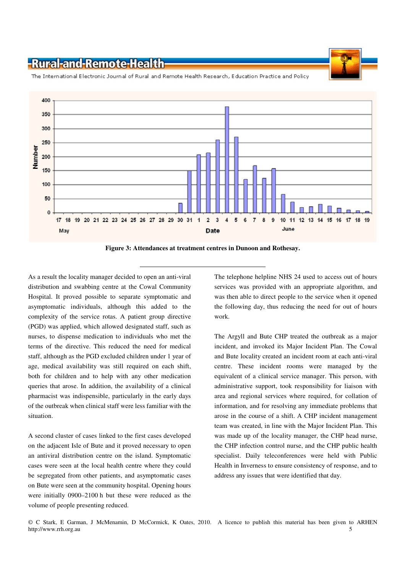400 350 300 250 Number 200 150 100 50 n  $\bar{3}$  $11$ 20 21 22 23 24 25 26 27 28 29 30 31  $\overline{1}$  $\bar{\bf 2}$  $\overline{A}$ 5  $\mathbf{6}$  $\overline{I}$  $\hat{\mathbf{a}}$ ġ 10  $12$  $13$  $44$ 15 19  $17.18$ 19 16 18 June May Date

The International Electronic Journal of Rural and Remote Health Research, Education Practice and Policy

**Figure 3: Attendances at treatment centres in Dunoon and Rothesay.** 

As a result the locality manager decided to open an anti-viral distribution and swabbing centre at the Cowal Community Hospital. It proved possible to separate symptomatic and asymptomatic individuals, although this added to the complexity of the service rotas. A patient group directive (PGD) was applied, which allowed designated staff, such as nurses, to dispense medication to individuals who met the terms of the directive. This reduced the need for medical staff, although as the PGD excluded children under 1 year of age, medical availability was still required on each shift, both for children and to help with any other medication queries that arose. In addition, the availability of a clinical pharmacist was indispensible, particularly in the early days of the outbreak when clinical staff were less familiar with the situation.

A second cluster of cases linked to the first cases developed on the adjacent Isle of Bute and it proved necessary to open an antiviral distribution centre on the island. Symptomatic cases were seen at the local health centre where they could be segregated from other patients, and asymptomatic cases on Bute were seen at the community hospital. Opening hours were initially 0900–2100 h but these were reduced as the volume of people presenting reduced.

The telephone helpline NHS 24 used to access out of hours services was provided with an appropriate algorithm, and was then able to direct people to the service when it opened the following day, thus reducing the need for out of hours work.

The Argyll and Bute CHP treated the outbreak as a major incident, and invoked its Major Incident Plan. The Cowal and Bute locality created an incident room at each anti-viral centre. These incident rooms were managed by the equivalent of a clinical service manager. This person, with administrative support, took responsibility for liaison with area and regional services where required, for collation of information, and for resolving any immediate problems that arose in the course of a shift. A CHP incident management team was created, in line with the Major Incident Plan. This was made up of the locality manager, the CHP head nurse, the CHP infection control nurse, and the CHP public health specialist. Daily teleconferences were held with Public Health in Inverness to ensure consistency of response, and to address any issues that were identified that day.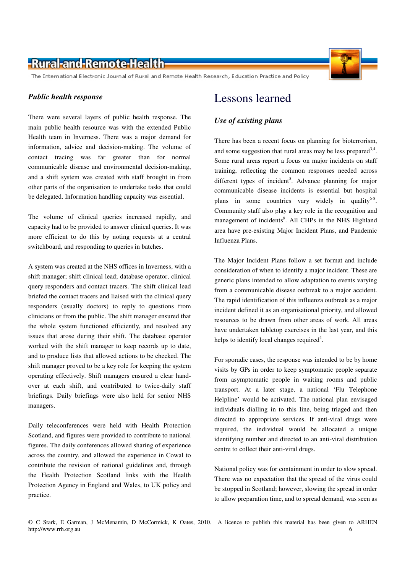The International Electronic Journal of Rural and Remote Health Research, Education Practice and Policy

#### *Public health response*

There were several layers of public health response. The main public health resource was with the extended Public Health team in Inverness. There was a major demand for information, advice and decision-making. The volume of contact tracing was far greater than for normal communicable disease and environmental decision-making, and a shift system was created with staff brought in from other parts of the organisation to undertake tasks that could be delegated. Information handling capacity was essential.

The volume of clinical queries increased rapidly, and capacity had to be provided to answer clinical queries. It was more efficient to do this by noting requests at a central switchboard, and responding to queries in batches.

A system was created at the NHS offices in Inverness, with a shift manager; shift clinical lead; database operator, clinical query responders and contact tracers. The shift clinical lead briefed the contact tracers and liaised with the clinical query responders (usually doctors) to reply to questions from clinicians or from the public. The shift manager ensured that the whole system functioned efficiently, and resolved any issues that arose during their shift. The database operator worked with the shift manager to keep records up to date, and to produce lists that allowed actions to be checked. The shift manager proved to be a key role for keeping the system operating effectively. Shift managers ensured a clear handover at each shift, and contributed to twice-daily staff briefings. Daily briefings were also held for senior NHS managers.

Daily teleconferences were held with Health Protection Scotland, and figures were provided to contribute to national figures. The daily conferences allowed sharing of experience across the country, and allowed the experience in Cowal to contribute the revision of national guidelines and, through the Health Protection Scotland links with the Health Protection Agency in England and Wales, to UK policy and practice.



### *Use of existing plans*

There has been a recent focus on planning for bioterrorism, and some suggestion that rural areas may be less prepared  $3,4$ . Some rural areas report a focus on major incidents on staff training, reflecting the common responses needed across different types of incident<sup>5</sup>. Advance planning for major communicable disease incidents is essential but hospital plans in some countries vary widely in quality<sup>6-8</sup>. Community staff also play a key role in the recognition and management of incidents<sup>9</sup>. All CHPs in the NHS Highland area have pre-existing Major Incident Plans, and Pandemic Influenza Plans.

The Major Incident Plans follow a set format and include consideration of when to identify a major incident. These are generic plans intended to allow adaptation to events varying from a communicable disease outbreak to a major accident. The rapid identification of this influenza outbreak as a major incident defined it as an organisational priority, and allowed resources to be drawn from other areas of work. All areas have undertaken tabletop exercises in the last year, and this helps to identify local changes required<sup>4</sup>.

For sporadic cases, the response was intended to be by home visits by GPs in order to keep symptomatic people separate from asymptomatic people in waiting rooms and public transport. At a later stage, a national 'Flu Telephone Helpline' would be activated. The national plan envisaged individuals dialling in to this line, being triaged and then directed to appropriate services. If anti-viral drugs were required, the individual would be allocated a unique identifying number and directed to an anti-viral distribution centre to collect their anti-viral drugs.

National policy was for containment in order to slow spread. There was no expectation that the spread of the virus could be stopped in Scotland; however, slowing the spread in order to allow preparation time, and to spread demand, was seen as

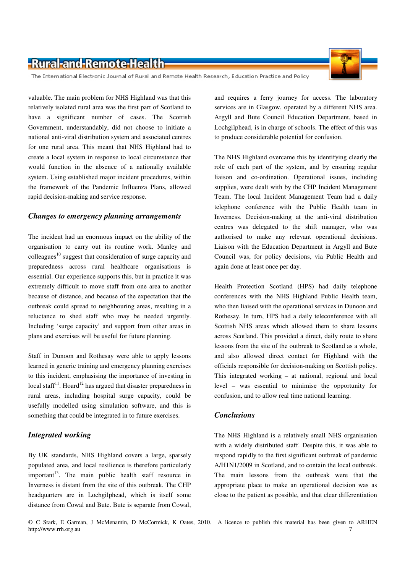The International Electronic Journal of Rural and Remote Health Research, Education Practice and Policy

valuable. The main problem for NHS Highland was that this relatively isolated rural area was the first part of Scotland to have a significant number of cases. The Scottish Government, understandably, did not choose to initiate a national anti-viral distribution system and associated centres for one rural area. This meant that NHS Highland had to create a local system in response to local circumstance that would function in the absence of a nationally available system. Using established major incident procedures, within the framework of the Pandemic Influenza Plans, allowed rapid decision-making and service response.

#### *Changes to emergency planning arrangements*

The incident had an enormous impact on the ability of the organisation to carry out its routine work. Manley and colleagues<sup>10</sup> suggest that consideration of surge capacity and preparedness across rural healthcare organisations is essential. Our experience supports this, but in practice it was extremely difficult to move staff from one area to another because of distance, and because of the expectation that the outbreak could spread to neighbouring areas, resulting in a reluctance to shed staff who may be needed urgently. Including 'surge capacity' and support from other areas in plans and exercises will be useful for future planning.

Staff in Dunoon and Rothesay were able to apply lessons learned in generic training and emergency planning exercises to this incident, emphasising the importance of investing in local staff<sup>11</sup>. Hoard<sup>12</sup> has argued that disaster preparedness in rural areas, including hospital surge capacity, could be usefully modelled using simulation software, and this is something that could be integrated in to future exercises.

#### *Integrated working*

By UK standards, NHS Highland covers a large, sparsely populated area, and local resilience is therefore particularly  $important<sup>13</sup>$ . The main public health staff resource in Inverness is distant from the site of this outbreak. The CHP headquarters are in Lochgilphead, which is itself some distance from Cowal and Bute. Bute is separate from Cowal,

and requires a ferry journey for access. The laboratory services are in Glasgow, operated by a different NHS area. Argyll and Bute Council Education Department, based in Lochgilphead, is in charge of schools. The effect of this was to produce considerable potential for confusion.

The NHS Highland overcame this by identifying clearly the role of each part of the system, and by ensuring regular liaison and co-ordination. Operational issues, including supplies, were dealt with by the CHP Incident Management Team. The local Incident Management Team had a daily telephone conference with the Public Health team in Inverness. Decision-making at the anti-viral distribution centres was delegated to the shift manager, who was authorised to make any relevant operational decisions. Liaison with the Education Department in Argyll and Bute Council was, for policy decisions, via Public Health and again done at least once per day.

Health Protection Scotland (HPS) had daily telephone conferences with the NHS Highland Public Health team, who then liaised with the operational services in Dunoon and Rothesay. In turn, HPS had a daily teleconference with all Scottish NHS areas which allowed them to share lessons across Scotland. This provided a direct, daily route to share lessons from the site of the outbreak to Scotland as a whole, and also allowed direct contact for Highland with the officials responsible for decision-making on Scottish policy. This integrated working – at national, regional and local level – was essential to minimise the opportunity for confusion, and to allow real time national learning.

#### *Conclusions*

The NHS Highland is a relatively small NHS organisation with a widely distributed staff. Despite this, it was able to respond rapidly to the first significant outbreak of pandemic A/H1N1/2009 in Scotland, and to contain the local outbreak. The main lessons from the outbreak were that the appropriate place to make an operational decision was as close to the patient as possible, and that clear differentiation

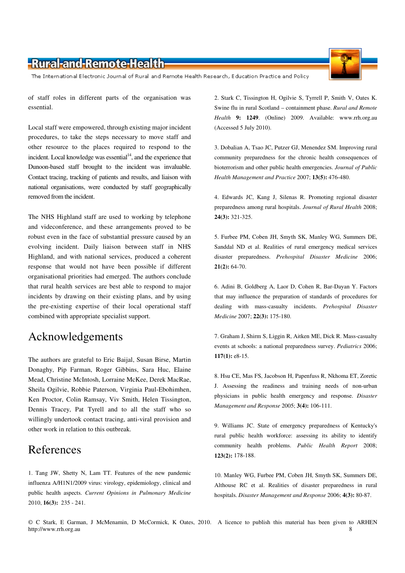The International Electronic Journal of Rural and Remote Health Research, Education Practice and Policy

of staff roles in different parts of the organisation was essential.

Local staff were empowered, through existing major incident procedures, to take the steps necessary to move staff and other resource to the places required to respond to the incident. Local knowledge was essential $14$ , and the experience that Dunoon-based staff brought to the incident was invaluable. Contact tracing, tracking of patients and results, and liaison with national organisations, were conducted by staff geographically removed from the incident.

The NHS Highland staff are used to working by telephone and videconference, and these arrangements proved to be robust even in the face of substantial pressure caused by an evolving incident. Daily liaison between staff in NHS Highland, and with national services, produced a coherent response that would not have been possible if different organisational priorities had emerged. The authors conclude that rural health services are best able to respond to major incidents by drawing on their existing plans, and by using the pre-existing expertise of their local operational staff combined with appropriate specialist support.

### Acknowledgements

The authors are grateful to Eric Baijal, Susan Birse, Martin Donaghy, Pip Farman, Roger Gibbins, Sara Huc, Elaine Mead, Christine McIntosh, Lorraine McKee, Derek MacRae, Sheila Ogilvie, Robbie Paterson, Virginia Paul-Ebohimhen, Ken Proctor, Colin Ramsay, Viv Smith, Helen Tissington, Dennis Tracey, Pat Tyrell and to all the staff who so willingly undertook contact tracing, anti-viral provision and other work in relation to this outbreak.

### References

1. Tang JW, Shetty N, Lam TT. Features of the new pandemic influenza A/H1N1/2009 virus: virology, epidemiology, clinical and public health aspects. *Current Opinions in Pulmonary Medicine* 2010, **16(3):** 235 - 241.

2. Stark C, Tissington H, Ogilvie S, Tyrrell P, Smith V, Oates K. Swine flu in rural Scotland – containment phase. *Rural and Remote Health* **9: 1249**. (Online) 2009. Available: www.rrh.org.au (Accessed 5 July 2010).

3. Dobalian A, Tsao JC, Putzer GJ, Menendez SM. Improving rural community preparedness for the chronic health consequences of bioterrorism and other public health emergencies. *Journal of Public Health Management and Practice* 2007; **13(5):** 476-480.

4. Edwards JC, Kang J, Silenas R. Promoting regional disaster preparedness among rural hospitals. *Journal of Rural Health* 2008; **24(3):** 321-325.

5. Furbee PM, Coben JH, Smyth SK, Manley WG, Summers DE, Sanddal ND et al. Realities of rural emergency medical services disaster preparedness. *Prehospital Disaster Medicine* 2006; **21(2):** 64-70.

6. Adini B, Goldberg A, Laor D, Cohen R, Bar-Dayan Y. Factors that may influence the preparation of standards of procedures for dealing with mass-casualty incidents. *Prehospital Disaster Medicine* 2007; **22(3):** 175-180.

7. Graham J, Shirm S, Liggin R, Aitken ME, Dick R. Mass-casualty events at schools: a national preparedness survey. *Pediatrics* 2006; **117(1):** e8-15.

8. Hsu CE, Mas FS, Jacobson H, Papenfuss R, Nkhoma ET, Zoretic J. Assessing the readiness and training needs of non-urban physicians in public health emergency and response. *Disaster Management and Response* 2005; **3(4):** 106-111.

9. Williams JC. State of emergency preparedness of Kentucky's rural public health workforce: assessing its ability to identify community health problems. *Public Health Report* 2008; **123(2):** 178-188.

10. Manley WG, Furbee PM, Coben JH, Smyth SK, Summers DE, Althouse RC et al. Realities of disaster preparedness in rural hospitals. *Disaster Management and Response* 2006; **4(3):** 80-87.